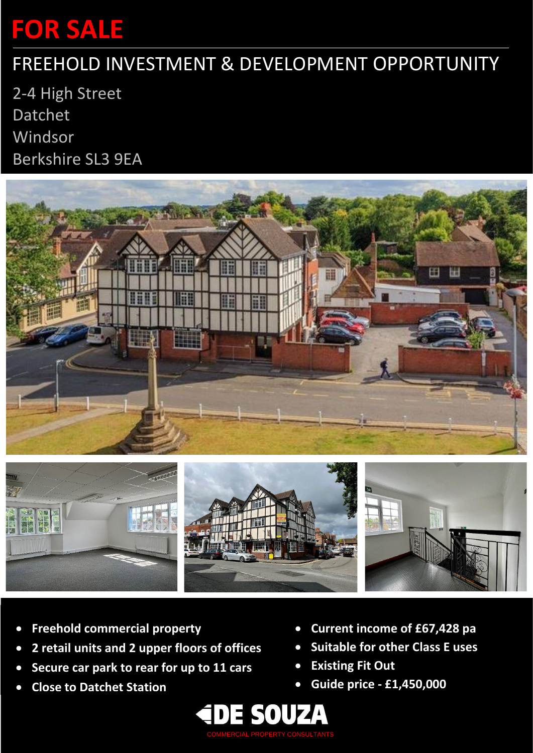# **FOR SALE**

## FREEHOLD INVESTMENT & DEVELOPMENT OPPORTUNITY

2-4 High Street Datchet Windsor Berkshire SL3 9EA





- **Freehold commercial property**
- **2 retail units and 2 upper floors of offices**
- **Secure car park to rear for up to 11 cars**
- **Close to Datchet Station**
- **Current income of £67,428 pa**
- **Suitable for other Class E uses**
- **Existing Fit Out**
- **Guide price - £1,450,000**

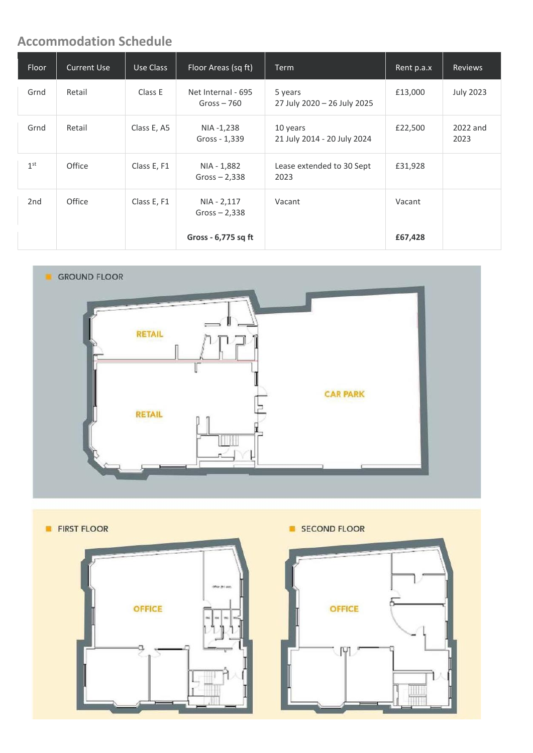### **Accommodation Schedule**

| Floor           | <b>Current Use</b> | Use Class   | Floor Areas (sq ft)                | <b>Term</b>                             | Rent p.a.x | <b>Reviews</b>   |
|-----------------|--------------------|-------------|------------------------------------|-----------------------------------------|------------|------------------|
| Grnd            | Retail             | Class E     | Net Internal - 695<br>Gross $-760$ | 5 years<br>27 July 2020 - 26 July 2025  | £13,000    | <b>July 2023</b> |
| Grnd            | Retail             | Class E, A5 | NIA -1,238<br>Gross - 1,339        | 10 years<br>21 July 2014 - 20 July 2024 | £22,500    | 2022 and<br>2023 |
| 1 <sup>st</sup> | Office             | Class E, F1 | NIA - 1,882<br>$Gross - 2,338$     | Lease extended to 30 Sept<br>2023       | £31,928    |                  |
| 2 <sub>nd</sub> | Office             | Class E, F1 | NIA - 2,117<br>$Gross - 2,338$     | Vacant                                  | Vacant     |                  |
|                 |                    |             | Gross - 6,775 sq ft                |                                         | £67,428    |                  |





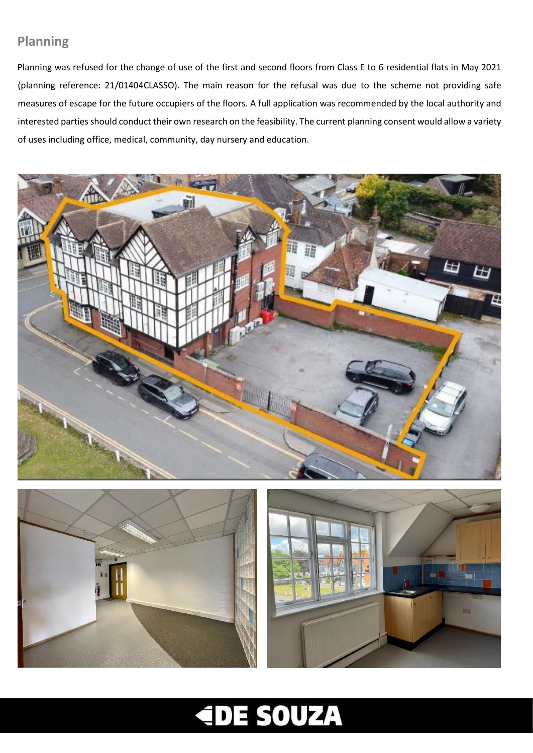### **Planning**

Planning was refused for the change of use of the first and second floors from Class E to 6 residential flats in May 2021 (planning reference: 21/01404CLASSO). The main reason for the refusal was due to the scheme not providing safe measures of escape for the future occupiers of the floors. A full application was recommended by the local authority and interested parties should conduct their own research on the feasibility. The current planning consent would allow a variety of uses including office, medical, community, day nursery and education.